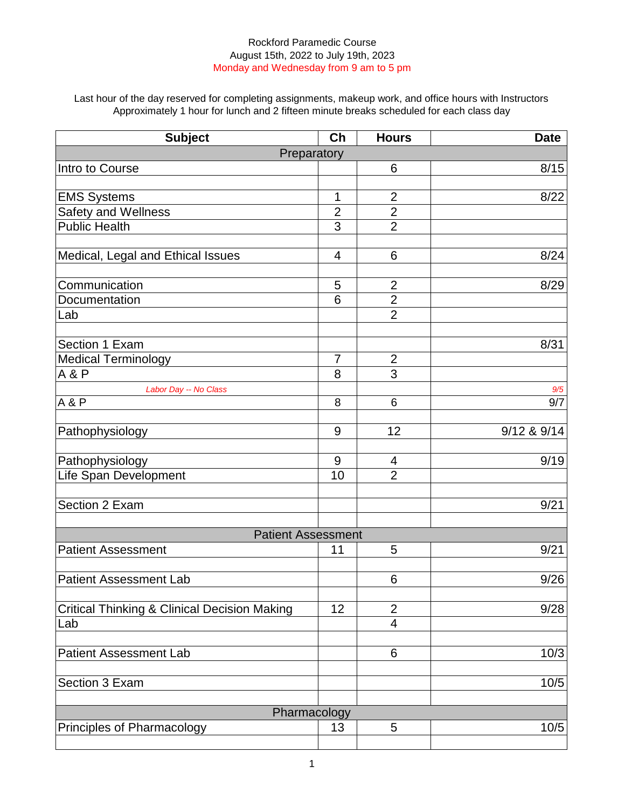Last hour of the day reserved for completing assignments, makeup work, and office hours with Instructors Approximately 1 hour for lunch and 2 fifteen minute breaks scheduled for each class day

| Preparatory<br>Intro to Course<br>6<br>8/15<br>1<br>$\overline{2}$<br>8/22<br><b>EMS Systems</b><br>$\overline{2}$<br>Safety and Wellness<br>$\overline{2}$<br><b>Public Health</b><br>3<br>$\overline{2}$<br>Medical, Legal and Ethical Issues<br>6<br>8/24<br>4<br>Communication<br>8/29<br>5<br>$\overline{2}$<br>$\overline{2}$<br>6<br>Documentation<br>$\overline{2}$<br>Lab<br>8/31<br>Section 1 Exam<br><b>Medical Terminology</b><br>$\overline{7}$<br>$\overline{2}$<br>3<br>A & P<br>8<br>Labor Day -- No Class<br>9/5<br><b>A&amp;P</b><br>8<br>9/7<br>6<br>12<br>9/12 & 9/14<br>9<br>Pathophysiology<br>9/19<br>Pathophysiology<br>9<br>4<br>$\overline{2}$<br>Life Span Development<br>10<br>Section 2 Exam<br>9/21<br><b>Patient Assessment</b><br><b>Patient Assessment</b><br>5<br>9/21<br>11<br><b>Patient Assessment Lab</b><br>9/26<br>6<br><b>Critical Thinking &amp; Clinical Decision Making</b><br>9/28<br>12<br>$\overline{2}$<br>4<br>Lab | <b>Subject</b> | $\overline{\text{ch}}$ | <b>Hours</b> | <b>Date</b> |  |
|---------------------------------------------------------------------------------------------------------------------------------------------------------------------------------------------------------------------------------------------------------------------------------------------------------------------------------------------------------------------------------------------------------------------------------------------------------------------------------------------------------------------------------------------------------------------------------------------------------------------------------------------------------------------------------------------------------------------------------------------------------------------------------------------------------------------------------------------------------------------------------------------------------------------------------------------------------------------|----------------|------------------------|--------------|-------------|--|
|                                                                                                                                                                                                                                                                                                                                                                                                                                                                                                                                                                                                                                                                                                                                                                                                                                                                                                                                                                     |                |                        |              |             |  |
|                                                                                                                                                                                                                                                                                                                                                                                                                                                                                                                                                                                                                                                                                                                                                                                                                                                                                                                                                                     |                |                        |              |             |  |
|                                                                                                                                                                                                                                                                                                                                                                                                                                                                                                                                                                                                                                                                                                                                                                                                                                                                                                                                                                     |                |                        |              |             |  |
|                                                                                                                                                                                                                                                                                                                                                                                                                                                                                                                                                                                                                                                                                                                                                                                                                                                                                                                                                                     |                |                        |              |             |  |
|                                                                                                                                                                                                                                                                                                                                                                                                                                                                                                                                                                                                                                                                                                                                                                                                                                                                                                                                                                     |                |                        |              |             |  |
|                                                                                                                                                                                                                                                                                                                                                                                                                                                                                                                                                                                                                                                                                                                                                                                                                                                                                                                                                                     |                |                        |              |             |  |
|                                                                                                                                                                                                                                                                                                                                                                                                                                                                                                                                                                                                                                                                                                                                                                                                                                                                                                                                                                     |                |                        |              |             |  |
|                                                                                                                                                                                                                                                                                                                                                                                                                                                                                                                                                                                                                                                                                                                                                                                                                                                                                                                                                                     |                |                        |              |             |  |
|                                                                                                                                                                                                                                                                                                                                                                                                                                                                                                                                                                                                                                                                                                                                                                                                                                                                                                                                                                     |                |                        |              |             |  |
|                                                                                                                                                                                                                                                                                                                                                                                                                                                                                                                                                                                                                                                                                                                                                                                                                                                                                                                                                                     |                |                        |              |             |  |
|                                                                                                                                                                                                                                                                                                                                                                                                                                                                                                                                                                                                                                                                                                                                                                                                                                                                                                                                                                     |                |                        |              |             |  |
|                                                                                                                                                                                                                                                                                                                                                                                                                                                                                                                                                                                                                                                                                                                                                                                                                                                                                                                                                                     |                |                        |              |             |  |
|                                                                                                                                                                                                                                                                                                                                                                                                                                                                                                                                                                                                                                                                                                                                                                                                                                                                                                                                                                     |                |                        |              |             |  |
|                                                                                                                                                                                                                                                                                                                                                                                                                                                                                                                                                                                                                                                                                                                                                                                                                                                                                                                                                                     |                |                        |              |             |  |
|                                                                                                                                                                                                                                                                                                                                                                                                                                                                                                                                                                                                                                                                                                                                                                                                                                                                                                                                                                     |                |                        |              |             |  |
|                                                                                                                                                                                                                                                                                                                                                                                                                                                                                                                                                                                                                                                                                                                                                                                                                                                                                                                                                                     |                |                        |              |             |  |
|                                                                                                                                                                                                                                                                                                                                                                                                                                                                                                                                                                                                                                                                                                                                                                                                                                                                                                                                                                     |                |                        |              |             |  |
|                                                                                                                                                                                                                                                                                                                                                                                                                                                                                                                                                                                                                                                                                                                                                                                                                                                                                                                                                                     |                |                        |              |             |  |
|                                                                                                                                                                                                                                                                                                                                                                                                                                                                                                                                                                                                                                                                                                                                                                                                                                                                                                                                                                     |                |                        |              |             |  |
|                                                                                                                                                                                                                                                                                                                                                                                                                                                                                                                                                                                                                                                                                                                                                                                                                                                                                                                                                                     |                |                        |              |             |  |
|                                                                                                                                                                                                                                                                                                                                                                                                                                                                                                                                                                                                                                                                                                                                                                                                                                                                                                                                                                     |                |                        |              |             |  |
|                                                                                                                                                                                                                                                                                                                                                                                                                                                                                                                                                                                                                                                                                                                                                                                                                                                                                                                                                                     |                |                        |              |             |  |
|                                                                                                                                                                                                                                                                                                                                                                                                                                                                                                                                                                                                                                                                                                                                                                                                                                                                                                                                                                     |                |                        |              |             |  |
|                                                                                                                                                                                                                                                                                                                                                                                                                                                                                                                                                                                                                                                                                                                                                                                                                                                                                                                                                                     |                |                        |              |             |  |
|                                                                                                                                                                                                                                                                                                                                                                                                                                                                                                                                                                                                                                                                                                                                                                                                                                                                                                                                                                     |                |                        |              |             |  |
|                                                                                                                                                                                                                                                                                                                                                                                                                                                                                                                                                                                                                                                                                                                                                                                                                                                                                                                                                                     |                |                        |              |             |  |
|                                                                                                                                                                                                                                                                                                                                                                                                                                                                                                                                                                                                                                                                                                                                                                                                                                                                                                                                                                     |                |                        |              |             |  |
|                                                                                                                                                                                                                                                                                                                                                                                                                                                                                                                                                                                                                                                                                                                                                                                                                                                                                                                                                                     |                |                        |              |             |  |
|                                                                                                                                                                                                                                                                                                                                                                                                                                                                                                                                                                                                                                                                                                                                                                                                                                                                                                                                                                     |                |                        |              |             |  |
|                                                                                                                                                                                                                                                                                                                                                                                                                                                                                                                                                                                                                                                                                                                                                                                                                                                                                                                                                                     |                |                        |              |             |  |
| 10/3<br><b>Patient Assessment Lab</b><br>6                                                                                                                                                                                                                                                                                                                                                                                                                                                                                                                                                                                                                                                                                                                                                                                                                                                                                                                          |                |                        |              |             |  |
| Section 3 Exam<br>10/5                                                                                                                                                                                                                                                                                                                                                                                                                                                                                                                                                                                                                                                                                                                                                                                                                                                                                                                                              |                |                        |              |             |  |
|                                                                                                                                                                                                                                                                                                                                                                                                                                                                                                                                                                                                                                                                                                                                                                                                                                                                                                                                                                     |                |                        |              |             |  |
| Pharmacology                                                                                                                                                                                                                                                                                                                                                                                                                                                                                                                                                                                                                                                                                                                                                                                                                                                                                                                                                        |                |                        |              |             |  |
| 10/5<br>Principles of Pharmacology<br>5<br>13                                                                                                                                                                                                                                                                                                                                                                                                                                                                                                                                                                                                                                                                                                                                                                                                                                                                                                                       |                |                        |              |             |  |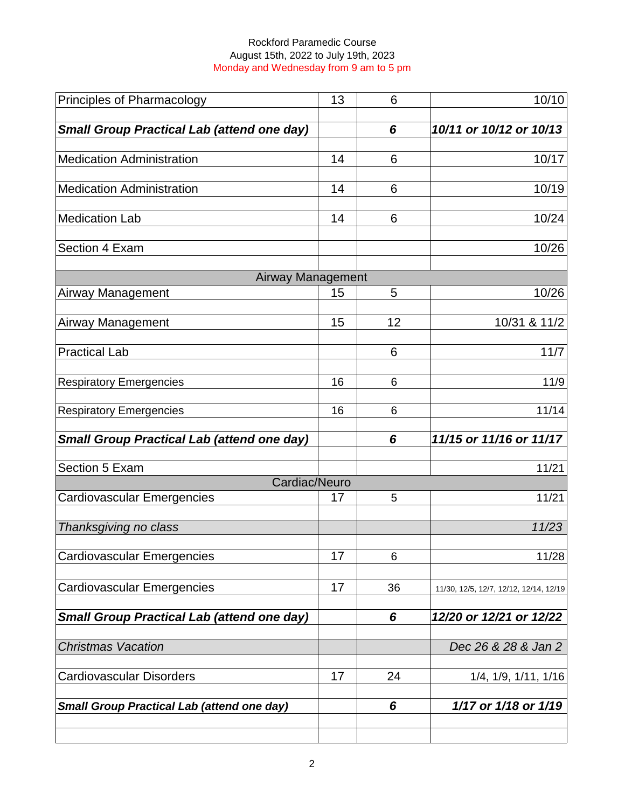| Principles of Pharmacology                        | 13 | 6  | 10/10                                  |
|---------------------------------------------------|----|----|----------------------------------------|
| <b>Small Group Practical Lab (attend one day)</b> |    | 6  | 10/11 or 10/12 or 10/13                |
|                                                   |    |    |                                        |
| <b>Medication Administration</b>                  | 14 | 6  | 10/17                                  |
| <b>Medication Administration</b>                  | 14 | 6  | 10/19                                  |
| <b>Medication Lab</b>                             | 14 | 6  | 10/24                                  |
| Section 4 Exam                                    |    |    | 10/26                                  |
| <b>Airway Management</b>                          |    |    |                                        |
| <b>Airway Management</b>                          | 15 | 5  | 10/26                                  |
| Airway Management                                 | 15 | 12 | 10/31 & 11/2                           |
| <b>Practical Lab</b>                              |    | 6  | 11/7                                   |
| <b>Respiratory Emergencies</b>                    | 16 | 6  | 11/9                                   |
| <b>Respiratory Emergencies</b>                    | 16 | 6  | 11/14                                  |
| <b>Small Group Practical Lab (attend one day)</b> |    | 6  | 11/15 or 11/16 or 11/17                |
| Section 5 Exam                                    |    |    | 11/21                                  |
| Cardiac/Neuro                                     |    |    |                                        |
| <b>Cardiovascular Emergencies</b>                 | 17 | 5  | 11/21                                  |
| Thanksgiving no class                             |    |    | 11/23                                  |
| Cardiovascular Emergencies                        | 17 | 6  | 11/28                                  |
| <b>Cardiovascular Emergencies</b>                 | 17 | 36 | 11/30, 12/5, 12/7, 12/12, 12/14, 12/19 |
| <b>Small Group Practical Lab (attend one day)</b> |    | 6  | 12/20 or 12/21 or 12/22                |
| <b>Christmas Vacation</b>                         |    |    | Dec 26 & 28 & Jan 2                    |
| <b>Cardiovascular Disorders</b>                   | 17 | 24 | 1/4, 1/9, 1/11, 1/16                   |
| <b>Small Group Practical Lab (attend one day)</b> |    | 6  | 1/17 or 1/18 or 1/19                   |
|                                                   |    |    |                                        |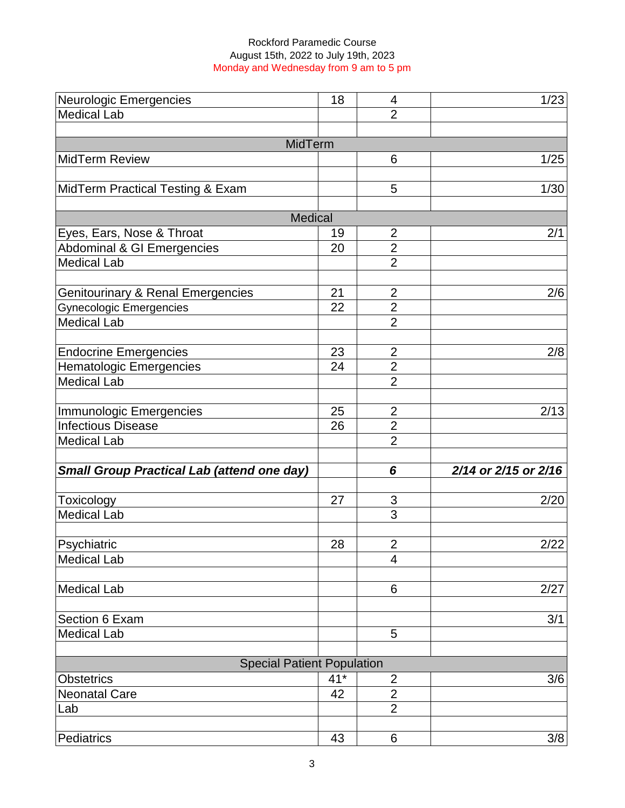| <b>Neurologic Emergencies</b>                     | 18    | 4                   | 1/23                 |
|---------------------------------------------------|-------|---------------------|----------------------|
| <b>Medical Lab</b>                                |       | $\overline{2}$      |                      |
|                                                   |       |                     |                      |
| MidTerm                                           |       |                     |                      |
| <b>MidTerm Review</b>                             |       | 6                   | 1/25                 |
|                                                   |       |                     |                      |
| MidTerm Practical Testing & Exam                  |       | 5                   | 1/30                 |
|                                                   |       |                     |                      |
| <b>Medical</b>                                    |       |                     |                      |
| Eyes, Ears, Nose & Throat                         | 19    | $\overline{2}$      | 2/1                  |
| Abdominal & GI Emergencies                        | 20    | $\overline{2}$      |                      |
| <b>Medical Lab</b>                                |       | $\overline{2}$      |                      |
| <b>Genitourinary &amp; Renal Emergencies</b>      | 21    | $\overline{2}$      | 2/6                  |
| <b>Gynecologic Emergencies</b>                    | 22    | $\overline{2}$      |                      |
| <b>Medical Lab</b>                                |       | $\overline{2}$      |                      |
|                                                   |       |                     |                      |
| <b>Endocrine Emergencies</b>                      | 23    | $\overline{2}$      | 2/8                  |
| <b>Hematologic Emergencies</b>                    | 24    | $\overline{2}$      |                      |
| <b>Medical Lab</b>                                |       | $\overline{2}$      |                      |
|                                                   |       |                     |                      |
| Immunologic Emergencies                           | 25    | $\overline{2}$      | 2/13                 |
| <b>Infectious Disease</b>                         | 26    | $\overline{2}$      |                      |
| <b>Medical Lab</b>                                |       | $\overline{2}$      |                      |
|                                                   |       |                     |                      |
| <b>Small Group Practical Lab (attend one day)</b> |       | 6                   | 2/14 or 2/15 or 2/16 |
|                                                   |       |                     |                      |
| Toxicology                                        | 27    | $\mathfrak{S}$      | 2/20                 |
| <b>Medical Lab</b>                                |       | 3                   |                      |
|                                                   |       |                     |                      |
| Psychiatric<br><b>Medical Lab</b>                 | 28    | $\overline{2}$<br>4 | 2/22                 |
|                                                   |       |                     |                      |
| <b>Medical Lab</b>                                |       | 6                   | 2/27                 |
|                                                   |       |                     |                      |
| Section 6 Exam                                    |       |                     | 3/1                  |
| <b>Medical Lab</b>                                |       | 5                   |                      |
|                                                   |       |                     |                      |
| <b>Special Patient Population</b>                 |       |                     |                      |
| <b>Obstetrics</b>                                 | $41*$ | $\overline{2}$      | 3/6                  |
| <b>Neonatal Care</b>                              | 42    | $\overline{2}$      |                      |
| Lab                                               |       | $\overline{2}$      |                      |
|                                                   |       |                     |                      |
| Pediatrics                                        | 43    | 6                   | 3/8                  |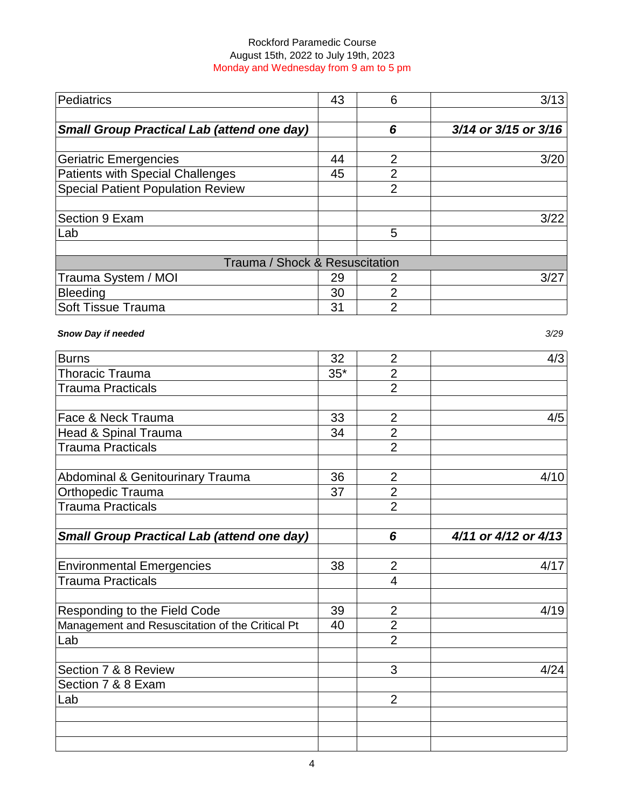| Pediatrics                                        | 43    | 6              | 3/13                 |
|---------------------------------------------------|-------|----------------|----------------------|
|                                                   |       |                |                      |
| <b>Small Group Practical Lab (attend one day)</b> |       | 6              | 3/14 or 3/15 or 3/16 |
|                                                   |       |                |                      |
| <b>Geriatric Emergencies</b>                      | 44    | $\overline{2}$ | 3/20                 |
| <b>Patients with Special Challenges</b>           | 45    | $\overline{2}$ |                      |
| <b>Special Patient Population Review</b>          |       | $\overline{2}$ |                      |
|                                                   |       |                |                      |
| Section 9 Exam                                    |       |                | 3/22                 |
| Lab                                               |       | 5              |                      |
|                                                   |       |                |                      |
| Trauma / Shock & Resuscitation                    |       |                |                      |
| Trauma System / MOI                               | 29    | 2              | 3/27                 |
| <b>Bleeding</b>                                   | 30    | $\overline{2}$ |                      |
| Soft Tissue Trauma                                | 31    | $\overline{2}$ |                      |
| <b>Snow Day if needed</b>                         |       |                | 3/29                 |
|                                                   |       |                |                      |
| Burns                                             | 32    | $\overline{2}$ | 4/3                  |
| <b>Thoracic Trauma</b>                            | $35*$ | $\overline{2}$ |                      |
| <b>Trauma Practicals</b>                          |       | $\overline{2}$ |                      |
| Face & Neck Trauma                                | 33    | $\overline{2}$ | 4/5                  |
| Head & Spinal Trauma                              | 34    | $\overline{2}$ |                      |
|                                                   |       |                |                      |

| <b>Burns</b>                                      | 32    | $\overline{2}$ | 4/3                  |
|---------------------------------------------------|-------|----------------|----------------------|
| <b>Thoracic Trauma</b>                            | $35*$ | $\overline{2}$ |                      |
| <b>Trauma Practicals</b>                          |       | $\overline{2}$ |                      |
|                                                   |       |                |                      |
| Face & Neck Trauma                                | 33    | $\overline{2}$ | 4/5                  |
| Head & Spinal Trauma                              | 34    | $\overline{2}$ |                      |
| <b>Trauma Practicals</b>                          |       | $\overline{2}$ |                      |
| <b>Abdominal &amp; Genitourinary Trauma</b>       | 36    | $\overline{2}$ | 4/10                 |
| Orthopedic Trauma                                 | 37    | $\overline{2}$ |                      |
| <b>Trauma Practicals</b>                          |       | $\overline{2}$ |                      |
|                                                   |       |                |                      |
| <b>Small Group Practical Lab (attend one day)</b> |       | 6              | 4/11 or 4/12 or 4/13 |
| <b>Environmental Emergencies</b>                  | 38    | $\overline{2}$ | 4/17                 |
| <b>Trauma Practicals</b>                          |       | $\overline{4}$ |                      |
|                                                   |       |                |                      |
| Responding to the Field Code                      | 39    | $\overline{2}$ | 4/19                 |
| Management and Resuscitation of the Critical Pt   | 40    | $\overline{2}$ |                      |
| Lab                                               |       | $\overline{2}$ |                      |
| Section 7 & 8 Review                              |       | 3              | 4/24                 |
| Section 7 & 8 Exam                                |       |                |                      |
| Lab                                               |       | $\overline{2}$ |                      |
|                                                   |       |                |                      |
|                                                   |       |                |                      |
|                                                   |       |                |                      |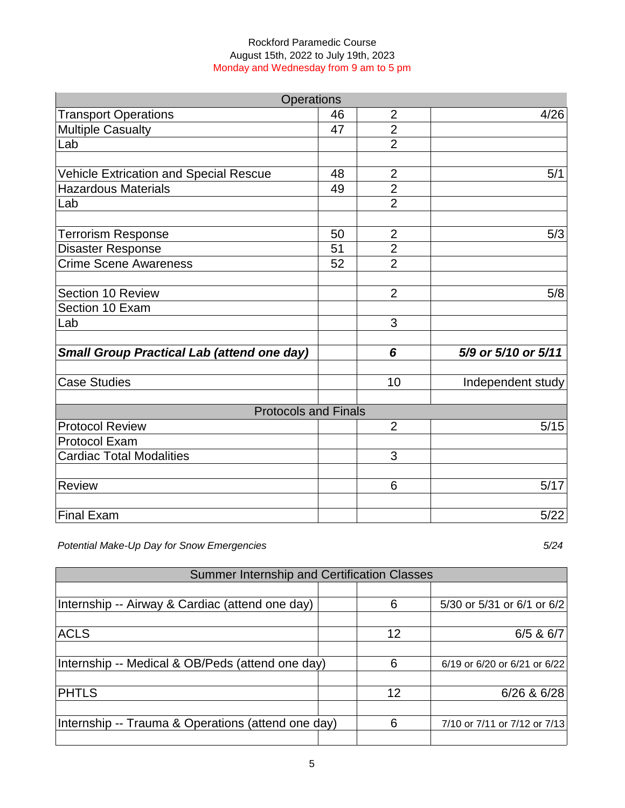| <b>Operations</b>                                 |    |                |                     |
|---------------------------------------------------|----|----------------|---------------------|
| <b>Transport Operations</b>                       | 46 | $\overline{2}$ | 4/26                |
| <b>Multiple Casualty</b>                          | 47 | $\overline{2}$ |                     |
| Lab                                               |    | $\overline{2}$ |                     |
|                                                   |    |                |                     |
| <b>Vehicle Extrication and Special Rescue</b>     | 48 | $\overline{2}$ | 5/1                 |
| <b>Hazardous Materials</b>                        | 49 | $\overline{2}$ |                     |
| Lab                                               |    | $\overline{2}$ |                     |
|                                                   |    |                |                     |
| <b>Terrorism Response</b>                         | 50 | $\overline{2}$ | 5/3                 |
| <b>Disaster Response</b>                          | 51 | $\overline{2}$ |                     |
| <b>Crime Scene Awareness</b>                      | 52 | $\overline{2}$ |                     |
|                                                   |    |                |                     |
| Section 10 Review                                 |    | $\overline{2}$ | 5/8                 |
| Section 10 Exam                                   |    |                |                     |
| Lab                                               |    | 3              |                     |
|                                                   |    |                |                     |
| <b>Small Group Practical Lab (attend one day)</b> |    | 6              | 5/9 or 5/10 or 5/11 |
| <b>Case Studies</b>                               |    | 10             | Independent study   |
|                                                   |    |                |                     |
| <b>Protocols and Finals</b>                       |    |                |                     |
| <b>Protocol Review</b>                            |    | $\overline{2}$ | 5/15                |
| <b>Protocol Exam</b>                              |    |                |                     |
| <b>Cardiac Total Modalities</b>                   |    | 3              |                     |
| <b>Review</b>                                     |    | 6              | 5/17                |
| <b>Final Exam</b>                                 |    |                | 5/22                |

*Potential Make-Up Day for Snow Emergencies 5/24*

| Summer Internship and Certification Classes        |  |    |                              |
|----------------------------------------------------|--|----|------------------------------|
|                                                    |  |    |                              |
| Internship -- Airway & Cardiac (attend one day)    |  | 6  | 5/30 or 5/31 or 6/1 or 6/2   |
|                                                    |  |    |                              |
| <b>ACLS</b>                                        |  | 12 | $6/5$ & $6/7$                |
|                                                    |  |    |                              |
| Internship -- Medical & OB/Peds (attend one day)   |  | 6  | 6/19 or 6/20 or 6/21 or 6/22 |
|                                                    |  |    |                              |
| <b>PHTLS</b>                                       |  | 12 | $6/26$ & $6/28$              |
|                                                    |  |    |                              |
| Internship -- Trauma & Operations (attend one day) |  | 6  | 7/10 or 7/11 or 7/12 or 7/13 |
|                                                    |  |    |                              |